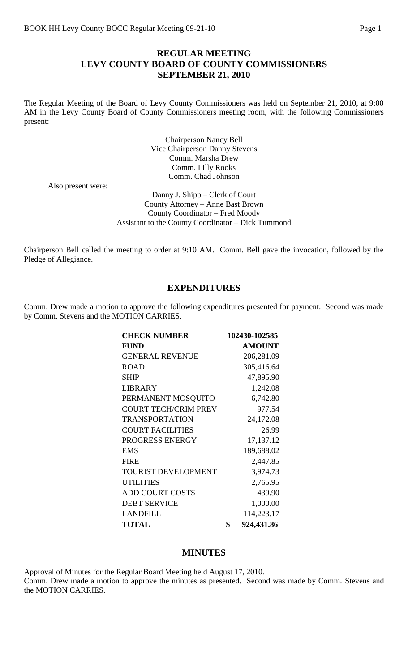### **REGULAR MEETING LEVY COUNTY BOARD OF COUNTY COMMISSIONERS SEPTEMBER 21, 2010**

The Regular Meeting of the Board of Levy County Commissioners was held on September 21, 2010, at 9:00 AM in the Levy County Board of County Commissioners meeting room, with the following Commissioners present:

> Chairperson Nancy Bell Vice Chairperson Danny Stevens Comm. Marsha Drew Comm. Lilly Rooks Comm. Chad Johnson

Also present were:

Danny J. Shipp – Clerk of Court County Attorney – Anne Bast Brown County Coordinator – Fred Moody Assistant to the County Coordinator – Dick Tummond

Chairperson Bell called the meeting to order at 9:10 AM. Comm. Bell gave the invocation, followed by the Pledge of Allegiance.

### **EXPENDITURES**

Comm. Drew made a motion to approve the following expenditures presented for payment. Second was made by Comm. Stevens and the MOTION CARRIES.

| <b>CHECK NUMBER</b>         | 102430-102585    |
|-----------------------------|------------------|
| <b>FUND</b>                 | <b>AMOUNT</b>    |
| <b>GENERAL REVENUE</b>      | 206,281.09       |
| <b>ROAD</b>                 | 305,416.64       |
| <b>SHIP</b>                 | 47,895.90        |
| <b>LIBRARY</b>              | 1,242.08         |
| PERMANENT MOSQUITO          | 6,742.80         |
| <b>COURT TECH/CRIM PREV</b> | 977.54           |
| <b>TRANSPORTATION</b>       | 24,172.08        |
| <b>COURT FACILITIES</b>     | 26.99            |
| PROGRESS ENERGY             | 17,137.12        |
| <b>EMS</b>                  | 189,688.02       |
| <b>FIRE</b>                 | 2,447.85         |
| <b>TOURIST DEVELOPMENT</b>  | 3,974.73         |
| <b>UTILITIES</b>            | 2,765.95         |
| <b>ADD COURT COSTS</b>      | 439.90           |
| <b>DEBT SERVICE</b>         | 1,000.00         |
| <b>LANDFILL</b>             | 114,223.17       |
| <b>TOTAL</b>                | \$<br>924,431.86 |

#### **MINUTES**

Approval of Minutes for the Regular Board Meeting held August 17, 2010. Comm. Drew made a motion to approve the minutes as presented. Second was made by Comm. Stevens and the MOTION CARRIES.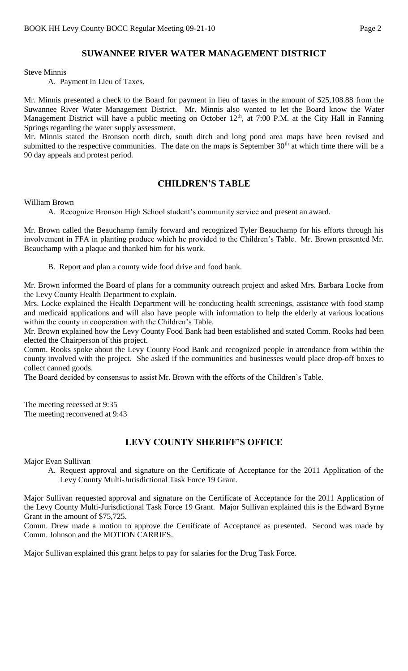# **SUWANNEE RIVER WATER MANAGEMENT DISTRICT**

Steve Minnis

A. Payment in Lieu of Taxes.

Mr. Minnis presented a check to the Board for payment in lieu of taxes in the amount of \$25,108.88 from the Suwannee River Water Management District. Mr. Minnis also wanted to let the Board know the Water Management District will have a public meeting on October 12<sup>th</sup>, at 7:00 P.M. at the City Hall in Fanning Springs regarding the water supply assessment.

Mr. Minnis stated the Bronson north ditch, south ditch and long pond area maps have been revised and submitted to the respective communities. The date on the maps is September 30<sup>th</sup> at which time there will be a 90 day appeals and protest period.

### **CHILDREN'S TABLE**

William Brown

A. Recognize Bronson High School student's community service and present an award.

Mr. Brown called the Beauchamp family forward and recognized Tyler Beauchamp for his efforts through his involvement in FFA in planting produce which he provided to the Children's Table. Mr. Brown presented Mr. Beauchamp with a plaque and thanked him for his work.

B. Report and plan a county wide food drive and food bank.

Mr. Brown informed the Board of plans for a community outreach project and asked Mrs. Barbara Locke from the Levy County Health Department to explain.

Mrs. Locke explained the Health Department will be conducting health screenings, assistance with food stamp and medicaid applications and will also have people with information to help the elderly at various locations within the county in cooperation with the Children's Table.

Mr. Brown explained how the Levy County Food Bank had been established and stated Comm. Rooks had been elected the Chairperson of this project.

Comm. Rooks spoke about the Levy County Food Bank and recognized people in attendance from within the county involved with the project. She asked if the communities and businesses would place drop-off boxes to collect canned goods.

The Board decided by consensus to assist Mr. Brown with the efforts of the Children's Table.

The meeting recessed at 9:35 The meeting reconvened at 9:43

# **LEVY COUNTY SHERIFF'S OFFICE**

Major Evan Sullivan

A. Request approval and signature on the Certificate of Acceptance for the 2011 Application of the Levy County Multi-Jurisdictional Task Force 19 Grant.

Major Sullivan requested approval and signature on the Certificate of Acceptance for the 2011 Application of the Levy County Multi-Jurisdictional Task Force 19 Grant. Major Sullivan explained this is the Edward Byrne Grant in the amount of \$75,725.

Comm. Drew made a motion to approve the Certificate of Acceptance as presented. Second was made by Comm. Johnson and the MOTION CARRIES.

Major Sullivan explained this grant helps to pay for salaries for the Drug Task Force.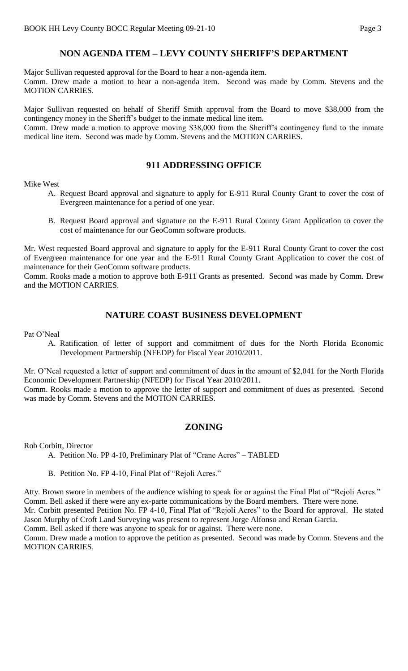# **NON AGENDA ITEM – LEVY COUNTY SHERIFF'S DEPARTMENT**

Major Sullivan requested approval for the Board to hear a non-agenda item. Comm. Drew made a motion to hear a non-agenda item. Second was made by Comm. Stevens and the MOTION CARRIES.

Major Sullivan requested on behalf of Sheriff Smith approval from the Board to move \$38,000 from the contingency money in the Sheriff's budget to the inmate medical line item.

Comm. Drew made a motion to approve moving \$38,000 from the Sheriff's contingency fund to the inmate medical line item. Second was made by Comm. Stevens and the MOTION CARRIES.

## **911 ADDRESSING OFFICE**

Mike West

- A. Request Board approval and signature to apply for E-911 Rural County Grant to cover the cost of Evergreen maintenance for a period of one year.
- B. Request Board approval and signature on the E-911 Rural County Grant Application to cover the cost of maintenance for our GeoComm software products.

Mr. West requested Board approval and signature to apply for the E-911 Rural County Grant to cover the cost of Evergreen maintenance for one year and the E-911 Rural County Grant Application to cover the cost of maintenance for their GeoComm software products.

Comm. Rooks made a motion to approve both E-911 Grants as presented. Second was made by Comm. Drew and the MOTION CARRIES.

# **NATURE COAST BUSINESS DEVELOPMENT**

Pat O'Neal

A. Ratification of letter of support and commitment of dues for the North Florida Economic Development Partnership (NFEDP) for Fiscal Year 2010/2011.

Mr. O'Neal requested a letter of support and commitment of dues in the amount of \$2,041 for the North Florida Economic Development Partnership (NFEDP) for Fiscal Year 2010/2011.

Comm. Rooks made a motion to approve the letter of support and commitment of dues as presented. Second was made by Comm. Stevens and the MOTION CARRIES.

# **ZONING**

Rob Corbitt, Director

- A. Petition No. PP 4-10, Preliminary Plat of "Crane Acres" TABLED
- B. Petition No. FP 4-10, Final Plat of "Rejoli Acres."

Atty. Brown swore in members of the audience wishing to speak for or against the Final Plat of "Rejoli Acres." Comm. Bell asked if there were any ex-parte communications by the Board members. There were none. Mr. Corbitt presented Petition No. FP 4-10, Final Plat of "Rejoli Acres" to the Board for approval. He stated Jason Murphy of Croft Land Surveying was present to represent Jorge Alfonso and Renan Garcia. Comm. Bell asked if there was anyone to speak for or against. There were none.

Comm. Drew made a motion to approve the petition as presented. Second was made by Comm. Stevens and the MOTION CARRIES.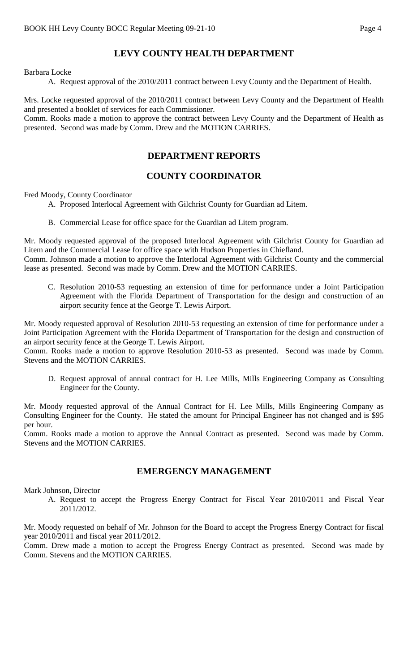# **LEVY COUNTY HEALTH DEPARTMENT**

#### Barbara Locke

A. Request approval of the 2010/2011 contract between Levy County and the Department of Health.

Mrs. Locke requested approval of the 2010/2011 contract between Levy County and the Department of Health and presented a booklet of services for each Commissioner.

Comm. Rooks made a motion to approve the contract between Levy County and the Department of Health as presented. Second was made by Comm. Drew and the MOTION CARRIES.

### **DEPARTMENT REPORTS**

### **COUNTY COORDINATOR**

Fred Moody, County Coordinator

A. Proposed Interlocal Agreement with Gilchrist County for Guardian ad Litem.

B. Commercial Lease for office space for the Guardian ad Litem program.

Mr. Moody requested approval of the proposed Interlocal Agreement with Gilchrist County for Guardian ad Litem and the Commercial Lease for office space with Hudson Properties in Chiefland.

Comm. Johnson made a motion to approve the Interlocal Agreement with Gilchrist County and the commercial lease as presented. Second was made by Comm. Drew and the MOTION CARRIES.

C. Resolution 2010-53 requesting an extension of time for performance under a Joint Participation Agreement with the Florida Department of Transportation for the design and construction of an airport security fence at the George T. Lewis Airport.

Mr. Moody requested approval of Resolution 2010-53 requesting an extension of time for performance under a Joint Participation Agreement with the Florida Department of Transportation for the design and construction of an airport security fence at the George T. Lewis Airport.

Comm. Rooks made a motion to approve Resolution 2010-53 as presented. Second was made by Comm. Stevens and the MOTION CARRIES.

D. Request approval of annual contract for H. Lee Mills, Mills Engineering Company as Consulting Engineer for the County.

Mr. Moody requested approval of the Annual Contract for H. Lee Mills, Mills Engineering Company as Consulting Engineer for the County. He stated the amount for Principal Engineer has not changed and is \$95 per hour.

Comm. Rooks made a motion to approve the Annual Contract as presented. Second was made by Comm. Stevens and the MOTION CARRIES.

### **EMERGENCY MANAGEMENT**

Mark Johnson, Director

A. Request to accept the Progress Energy Contract for Fiscal Year 2010/2011 and Fiscal Year 2011/2012.

Mr. Moody requested on behalf of Mr. Johnson for the Board to accept the Progress Energy Contract for fiscal year 2010/2011 and fiscal year 2011/2012.

Comm. Drew made a motion to accept the Progress Energy Contract as presented. Second was made by Comm. Stevens and the MOTION CARRIES.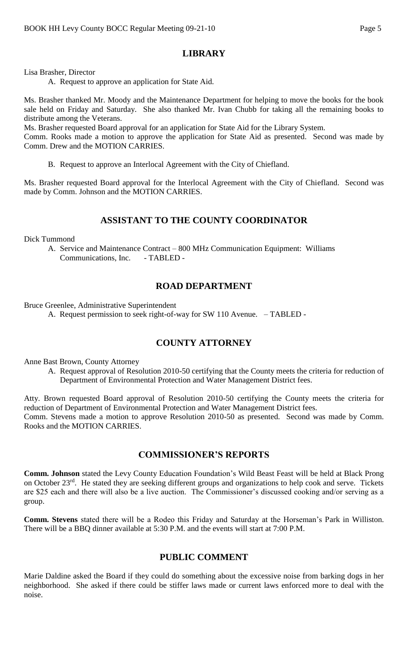# **LIBRARY**

Lisa Brasher, Director

A. Request to approve an application for State Aid.

Ms. Brasher thanked Mr. Moody and the Maintenance Department for helping to move the books for the book sale held on Friday and Saturday. She also thanked Mr. Ivan Chubb for taking all the remaining books to distribute among the Veterans.

Ms. Brasher requested Board approval for an application for State Aid for the Library System.

Comm. Rooks made a motion to approve the application for State Aid as presented. Second was made by Comm. Drew and the MOTION CARRIES.

B. Request to approve an Interlocal Agreement with the City of Chiefland.

Ms. Brasher requested Board approval for the Interlocal Agreement with the City of Chiefland. Second was made by Comm. Johnson and the MOTION CARRIES.

### **ASSISTANT TO THE COUNTY COORDINATOR**

Dick Tummond

A. Service and Maintenance Contract – 800 MHz Communication Equipment: Williams Communications, Inc. - TABLED -

### **ROAD DEPARTMENT**

Bruce Greenlee, Administrative Superintendent

A. Request permission to seek right-of-way for SW 110 Avenue. – TABLED -

# **COUNTY ATTORNEY**

Anne Bast Brown, County Attorney

A. Request approval of Resolution 2010-50 certifying that the County meets the criteria for reduction of Department of Environmental Protection and Water Management District fees.

Atty. Brown requested Board approval of Resolution 2010-50 certifying the County meets the criteria for reduction of Department of Environmental Protection and Water Management District fees. Comm. Stevens made a motion to approve Resolution 2010-50 as presented. Second was made by Comm. Rooks and the MOTION CARRIES.

### **COMMISSIONER'S REPORTS**

**Comm. Johnson** stated the Levy County Education Foundation's Wild Beast Feast will be held at Black Prong on October 23rd. He stated they are seeking different groups and organizations to help cook and serve. Tickets are \$25 each and there will also be a live auction. The Commissioner's discussed cooking and/or serving as a group.

**Comm. Stevens** stated there will be a Rodeo this Friday and Saturday at the Horseman's Park in Williston. There will be a BBQ dinner available at 5:30 P.M. and the events will start at 7:00 P.M.

### **PUBLIC COMMENT**

Marie Daldine asked the Board if they could do something about the excessive noise from barking dogs in her neighborhood. She asked if there could be stiffer laws made or current laws enforced more to deal with the noise.